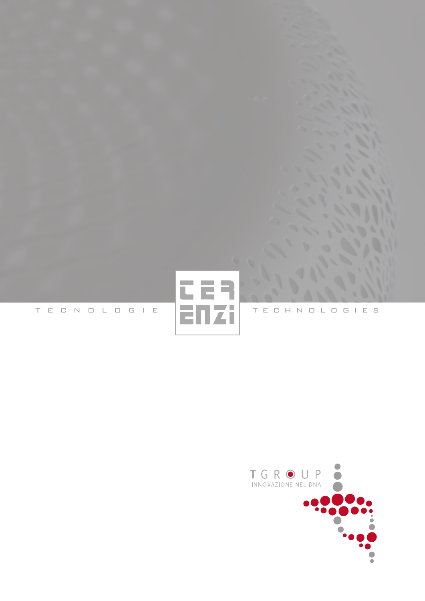

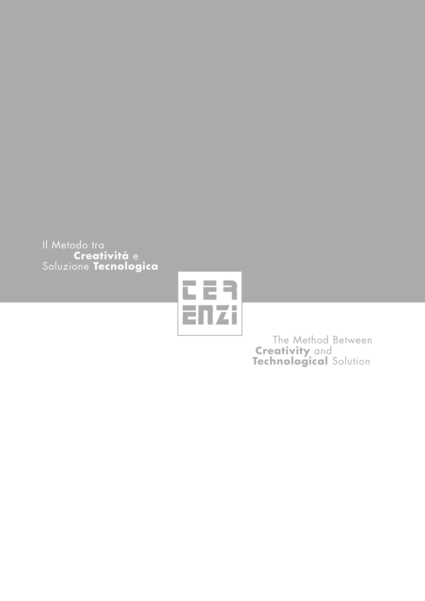Il Metodo tra  **Creatività** e Soluzione **Tecnologica**



 The Method Between *Creativity* and **Technological** Solution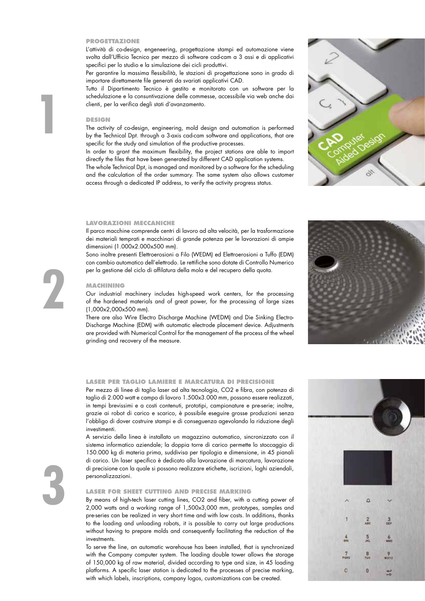#### **PROGETTAZIONE**

L'attività di co-design, engeneering, progettazione stampi ed automazione viene svolta dall'Ufficio Tecnico per mezzo di software cad-cam a 3 assi e di applicativi specifici per lo studio e la simulazione dei cicli produttivi.

Per garantire la massima flessibilità, le stazioni di progettazione sono in grado di importare direttamente file generati da svariati applicativi CAD.

Tutto il Dipartimento Tecnico è gestito e monitorato con un software per la schedulazione e la consuntivazione delle commesse, accessibile via web anche dai clienti, per la verifica degli stati d'avanzamento.

### **DESIGN**

**1**

The activity of co-design, engineering, mold design and automation is performed by the Technical Dpt. through a 3-axis cad-cam software and applications, that are specific for the study and simulation of the productive processes.

In order to grant the maximum flexibility, the project stations are able to import directly the files that have been generated by different CAD application systems.

The whole Technical Dpt, is managed and monitored by a software for the scheduling and the calculation of the order summary. The same system also allows customer access through a dedicated IP address, to verify the activity progress status.

## **LAVORAZIONI MECCANICHE**

Il parco macchine comprende centri di lavoro ad alta velocità, per la trasformazione dei materiali temprati e macchinari di grande potenza per le lavorazioni di ampie dimensioni (1.000x2.000x500 mm).

Sono inoltre presenti Elettroerosioni a Filo (WEDM) ed Elettroerosioni a Tuffo (EDM) con cambio automatico dell'elettrodo. Le rettifiche sono dotate di Controllo Numerico per la gestione del ciclo di affilatura della mola e del recupero della quota.

## **MACHINING**

Our industrial machinery includes high-speed work centers, for the processing of the hardened materials and of great power, for the processing of large sizes (1,000x2,000x500 mm).

There are also Wire Electro Discharge Machine (WEDM) and Die Sinking Electro-Discharge Machine (EDM) with automatic electrode placement device. Adjustments are provided with Numerical Control for the management of the process of the wheel grinding and recovery of the measure.

#### **LASER PER TAGLIO LAMIERE E MARCATURA DI PRECISIONE**

Per mezzo di linee di taglio laser ad alta tecnologia, CO2 e fibra, con potenza di taglio di 2.000 watt e campo di lavoro 1.500x3.000 mm, possono essere realizzati, in tempi brevissimi e a costi contenuti, prototipi, campionature e pre-serie; inoltre, grazie ai robot di carico e scarico, è possibile eseguire grosse produzioni senza l'obbligo di dover costruire stampi e di conseguenza agevolando la riduzione degli investimenti.

A servizio della linea è installato un magazzino automatico, sincronizzato con il sistema informatico aziendale; la doppia torre di carico permette lo stoccaggio di 150.000 kg di materia prima, suddivisa per tipologia e dimensione, in 45 pianali di carico. Un laser specifico è dedicato alla lavorazione di marcatura, lavorazione di precisione con la quale si possono realizzare etichette, iscrizioni, loghi aziendali, personalizzazioni.

# **LASER FOR SHEET CUTTING AND PRECISE MARKING**

By means of high-tech laser cutting lines, CO2 and fiber, with a cutting power of 2,000 watts and a working range of 1,500x3,000 mm, prototypes, samples and pre-series can be realized in very short time and with low costs. In additions, thanks to the loading and unloading robots, it is possible to carry out large productions without having to prepare molds and consequently facilitating the reduction of the investments.

To serve the line, an automatic warehouse has been installed, that is synchronized with the Company computer system. The loading double tower allows the storage of 150,000 kg of raw material, divided according to type and size, in 45 loading platforms. A specific laser station is dedicated to the processes of precise marking, with which labels, inscriptions, company logos, customizations can be created.









# **3**

**2**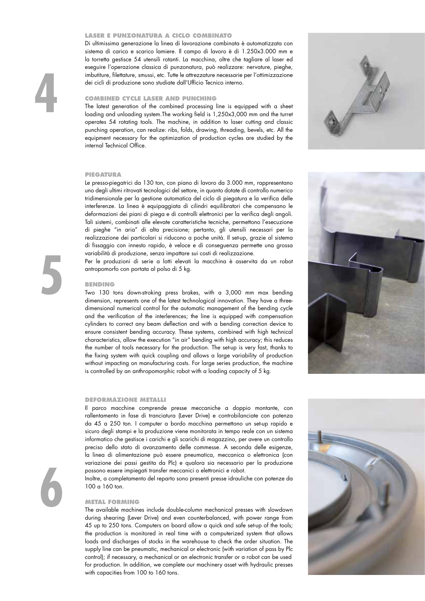## **LASER E PUNZONATURA A CICLO COMBINATO**

Di ultimissima generazione la linea di lavorazione combinata è automatizzata con sistema di carico e scarico lamiere. Il campo di lavoro è di 1.250x3.000 mm e la torretta gestisce 54 utensili rotanti. La macchina, oltre che tagliare al laser ed eseguire l'operazione classica di punzonatura, può realizzare: nervature, pieghe, imbutiture, filettature, smussi, etc. Tutte le attrezzature necessarie per l'ottimizzazione dei cicli di produzione sono studiate dall'Ufficio Tecnico interno.

# **COMBINED CYCLE LASER AND PUNCHING**

The latest generation of the combined processing line is equipped with a sheet loading and unloading system.The working field is 1,250x3,000 mm and the turret operates 54 rotating tools. The machine, in addition to laser cutting and classic punching operation, can realize: ribs, folds, drawing, threading, bevels, etc. All the equipment necessary for the optimization of production cycles are studied by the internal Technical Office.

# **PIEGATURA**

**4**

**5**

**6**

Le presso-piegatrici da 130 ton, con piano di lavoro da 3.000 mm, rappresentano uno degli ultimi ritrovati tecnologici del settore, in quanto dotate di controllo numerico tridimensionale per la gestione automatica del ciclo di piegatura e la verifica delle interferenze. La linea è equipaggiata di cilindri equilibratori che compensano le deformazioni dei piani di piega e di controlli elettronici per la verifica degli angoli. Tali sistemi, combinati alle elevate caratteristiche tecniche, permettono l'esecuzione di pieghe "in aria" di alta precisione; pertanto, gli utensili necessari per la realizzazione dei particolari si riducono a poche unità. Il set-up, grazie al sistema di fissaggio con innesto rapido, è veloce e di conseguenza permette una grossa variabilità di produzione, senza impattare sui costi di realizzazione.

Per le produzioni di serie a lotti elevati la macchina è asservita da un robot antropomorfo con portata al polso di 5 kg.

## **BENDING**

Two 130 tons down-stroking press brakes, with a 3,000 mm max bending dimension, represents one of the latest technological innovation. They have a threedimensional numerical control for the automatic management of the bending cycle and the verification of the interlerences; the line is equipped with compensation cylinders to correct any beam deflection and with a bending correction device to ensure consistent bending accuracy. These systems, combined with high technical characteristics, allow the execution "in air" bending with high accuracy; this reduces the number of tools necessary for the production. The set-up is very fast, thanks to the fixing system with quick coupling and allows a large variability of production without impacting on manufacturing costs. For large series production, the machine is controlled by an anthropomorphic robot with a loading capacity of 5 kg.

#### **DEFORMAZIONE METALLI**

Il parco macchine comprende presse meccaniche a doppio montante, con rallentamento in fase di tranciatura (Lever Drive) e controbilanciate con potenza da 45 a 250 ton. I computer a bordo macchina permettono un set-up rapido e sicuro degli stampi e la produzione viene monitorata in tempo reale con un sistema informatico che gestisce i carichi e gli scarichi di magazzino, per avere un controllo preciso dello stato di avanzamento delle commesse. A seconda delle esigenze, la linea di alimentazione può essere pneumatica, meccanica o elettronica (con variazione dei passi gestita da Plc) e qualora sia necessario per la produzione possono essere impiegati transfer meccanici o elettronici e robot.

Inoltre, a completamento del reparto sono presenti presse idrauliche con potenze da 100 a 160 ton.

#### **METAL FORMING**

The available machines include double-column mechanical presses with slowdown during shearing (Lever Drive) and even counterbalanced, with power range from 45 up to 250 tons. Computers on board allow a quick and safe set-up of the tools; the production is monitored in real time with a computerized system that allows loads and discharges of stocks in the warehouse to check the order situation. The supply line can be pneumatic, mechanical or electronic (with variation of pass by Plc control); if necessary, a mechanical or an electronic transfer or a robot can be used for production. In addition, we complete our machinery asset with hydraulic presses with capacities from 100 to 160 tons.







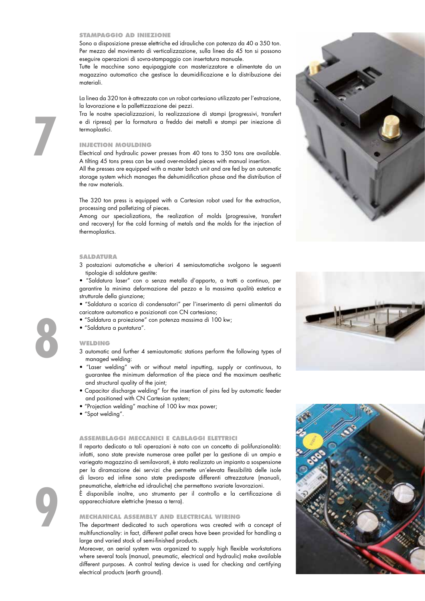#### **STAMPAGGIO AD INIEZIONE**

Sono a disposizione presse elettriche ed idrauliche con potenza da 40 a 350 ton. Per mezzo del movimento di verticalizzazione, sulla linea da 45 ton si possono eseguire operazioni di sovra-stampaggio con insertatura manuale.

Tutte le macchine sono equipaggiate con masterizzatore e alimentate da un magazzino automatico che gestisce la deumidificazione e la distribuzione dei materiali.

La linea da 320 ton è attrezzata con un robot cartesiano utilizzato per l'estrazione, la lavorazione e la pallettizzazione dei pezzi.

Tra le nostre specializzazioni, la realizzazione di stampi (progressivi, transfert e di ripresa) per la formatura a freddo dei metalli e stampi per iniezione di termoplastici.

## **INJECTION MOULDING**

Electrical and hydraulic power presses from 40 tons to 350 tons are available. A tilting 45 tons press can be used over-molded pieces with manual insertion.

All the presses are equipped with a master batch unit and are fed by an automatìc storage system which manages the dehumidification phase and the distribution of the raw materials.

The 320 ton press is equipped with a Cartesian robot used for the extraction, processing and palletizing of pieces.

Among our specializations, the realization of molds (progressive, transfert and recovery) for the cold forming of metals and the molds for the injection of thermoplastics.

### **SALDATURA**

3 postazioni automatiche e ulteriori 4 semiautomatiche svolgono le seguenti tipologie di saldature gestite:

• "Saldatura laser" con o senza metallo d'apporto, a tratti o continuo, per garantire la minima deformazione del pezzo e la massima qualità estetica e strutturale della giunzione;

- "Saldatura a scarica di condensatori" per l'inserimento di perni alimentati da caricatore automatico e posizionati con CN cartesiano;
- "Saldatura a proiezione" con potenza massima di 100 kw;
- "Saldatura a puntatura".

# **WELDING**

- 3 automatic and further 4 semiautomatic stations perform the following types of managed welding:
- "Laser welding" with or without metal inputting, supply or continuous, to guarantee the minimum deformation of the piece and the maximum aesthetic and structural quality of the joint;
- Capacitor discharge welding" for the insertion of pins fed by automatic feeder and positioned with CN Cartesian system;
- "Projection welding" machine of 100 kw max power;
- "Spot welding".

### **ASSEMBLAGGI MECCANICI E CABLAGGI ELETTRICI**

Il reparto dedicato a tali operazioni è nato con un concetto di polifunzionalità: infatti, sono state previste numerose aree pallet per la gestione di un ampio e variegato magazzino di semilavorati, è stato realizzato un impianto a sospensione per la diramazione dei servizi che permette un'elevata flessibilità delle isole di lavoro ed infine sono state predisposte differenti attrezzature (manuali, pneumatiche, elettriche ed idrauliche) che permettono svariate lavorazioni.

È disponibile inoltre, uno strumento per il controllo e la certificazione di apparecchiature elettriche (messa a terra).

#### **MECHANICAL ASSEMBLY AND ELECTRICAL WIRING**

The department dedicated to such operations was created with a concept of multifunctionality: in fact, different pallet areas have been provided for handling a large and varied stock of semi-finished products.

Moreover, an aerial system was organized to supply high flexible workstations where several tools (manual, pneumatic, electrical and hydraulic) make available different purposes. A control testing device is used for checking and certifying electrical products (earth ground).







**8**

**9**

**7**